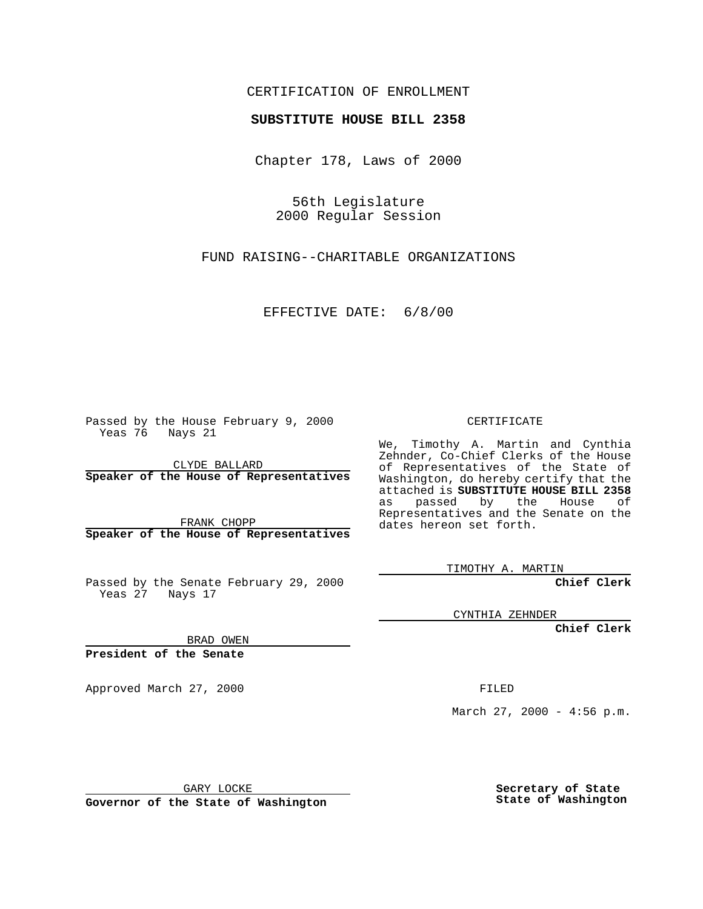### CERTIFICATION OF ENROLLMENT

# **SUBSTITUTE HOUSE BILL 2358**

Chapter 178, Laws of 2000

56th Legislature 2000 Regular Session

FUND RAISING--CHARITABLE ORGANIZATIONS

### EFFECTIVE DATE: 6/8/00

Passed by the House February 9, 2000 Yeas 76 Nays 21

CLYDE BALLARD **Speaker of the House of Representatives**

FRANK CHOPP **Speaker of the House of Representatives**

Passed by the Senate February 29, 2000 Yeas 27 Nays 17

CYNTHIA ZEHNDER

**Chief Clerk**

BRAD OWEN

**President of the Senate**

Approved March 27, 2000 FILED

March 27, 2000 - 4:56 p.m.

GARY LOCKE

**Governor of the State of Washington**

**Secretary of State State of Washington**

#### CERTIFICATE

We, Timothy A. Martin and Cynthia Zehnder, Co-Chief Clerks of the House of Representatives of the State of Washington, do hereby certify that the attached is **SUBSTITUTE HOUSE BILL 2358** as passed by the House of Representatives and the Senate on the dates hereon set forth.

TIMOTHY A. MARTIN

**Chief Clerk**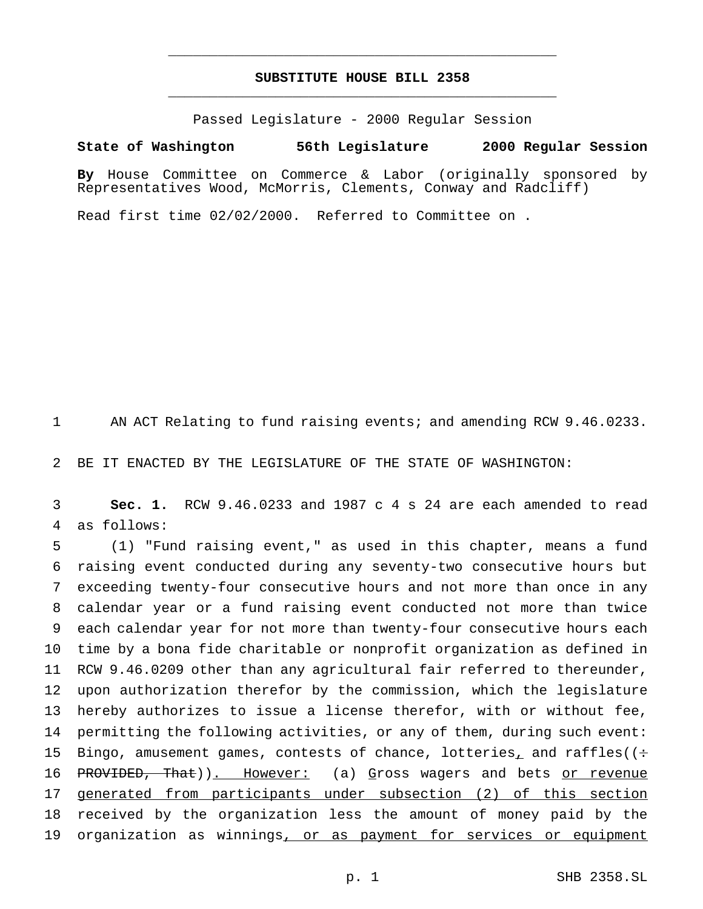## **SUBSTITUTE HOUSE BILL 2358** \_\_\_\_\_\_\_\_\_\_\_\_\_\_\_\_\_\_\_\_\_\_\_\_\_\_\_\_\_\_\_\_\_\_\_\_\_\_\_\_\_\_\_\_\_\_\_

\_\_\_\_\_\_\_\_\_\_\_\_\_\_\_\_\_\_\_\_\_\_\_\_\_\_\_\_\_\_\_\_\_\_\_\_\_\_\_\_\_\_\_\_\_\_\_

Passed Legislature - 2000 Regular Session

**State of Washington 56th Legislature 2000 Regular Session**

**By** House Committee on Commerce & Labor (originally sponsored by Representatives Wood, McMorris, Clements, Conway and Radcliff)

Read first time 02/02/2000. Referred to Committee on .

1 AN ACT Relating to fund raising events; and amending RCW 9.46.0233.

2 BE IT ENACTED BY THE LEGISLATURE OF THE STATE OF WASHINGTON:

3 **Sec. 1.** RCW 9.46.0233 and 1987 c 4 s 24 are each amended to read 4 as follows:

 (1) "Fund raising event," as used in this chapter, means a fund raising event conducted during any seventy-two consecutive hours but exceeding twenty-four consecutive hours and not more than once in any calendar year or a fund raising event conducted not more than twice each calendar year for not more than twenty-four consecutive hours each time by a bona fide charitable or nonprofit organization as defined in RCW 9.46.0209 other than any agricultural fair referred to thereunder, upon authorization therefor by the commission, which the legislature hereby authorizes to issue a license therefor, with or without fee, permitting the following activities, or any of them, during such event: 15 Bingo, amusement games, contests of chance, lotteries, and raffles( $($ : 16 PROVIDED, That)). However: (a) Gross wagers and bets or revenue 17 generated from participants under subsection (2) of this section received by the organization less the amount of money paid by the 19 organization as winnings, or as payment for services or equipment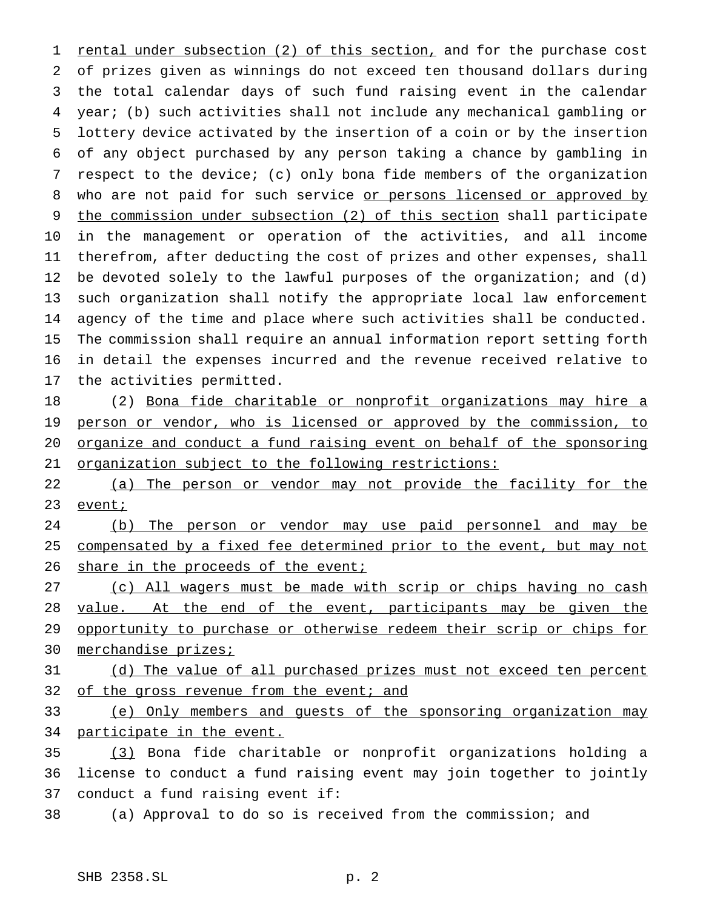1 rental under subsection (2) of this section, and for the purchase cost of prizes given as winnings do not exceed ten thousand dollars during the total calendar days of such fund raising event in the calendar year; (b) such activities shall not include any mechanical gambling or lottery device activated by the insertion of a coin or by the insertion of any object purchased by any person taking a chance by gambling in respect to the device; (c) only bona fide members of the organization 8 who are not paid for such service or persons licensed or approved by the commission under subsection (2) of this section shall participate in the management or operation of the activities, and all income therefrom, after deducting the cost of prizes and other expenses, shall be devoted solely to the lawful purposes of the organization; and (d) such organization shall notify the appropriate local law enforcement agency of the time and place where such activities shall be conducted. The commission shall require an annual information report setting forth in detail the expenses incurred and the revenue received relative to the activities permitted.

 (2) Bona fide charitable or nonprofit organizations may hire a 19 person or vendor, who is licensed or approved by the commission, to organize and conduct a fund raising event on behalf of the sponsoring organization subject to the following restrictions:

 (a) The person or vendor may not provide the facility for the 23 eventi

 (b) The person or vendor may use paid personnel and may be 25 compensated by a fixed fee determined prior to the event, but may not 26 share in the proceeds of the event;

 (c) All wagers must be made with scrip or chips having no cash 28 value. At the end of the event, participants may be given the 29 opportunity to purchase or otherwise redeem their scrip or chips for 30 merchandise prizes;

31 (d) The value of all purchased prizes must not exceed ten percent 32 of the gross revenue from the event; and

 (e) Only members and guests of the sponsoring organization may participate in the event.

 (3) Bona fide charitable or nonprofit organizations holding a license to conduct a fund raising event may join together to jointly conduct a fund raising event if:

(a) Approval to do so is received from the commission; and